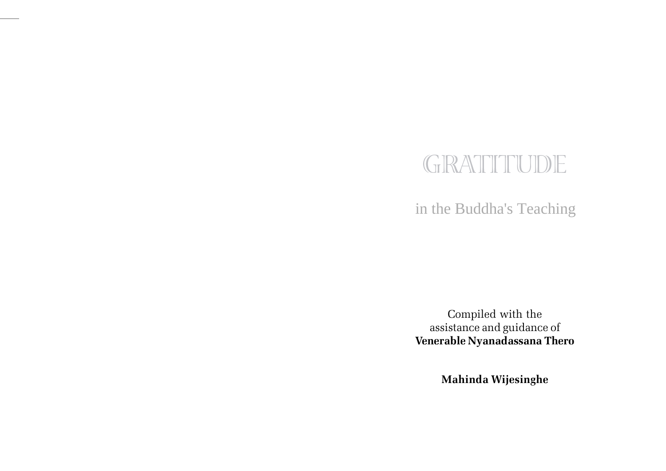# GRATITUDE

in the Buddha's Teaching

Compiled with the assistance and guidance of Venerable Nyanadassana Thero

Mahinda Wijesinghe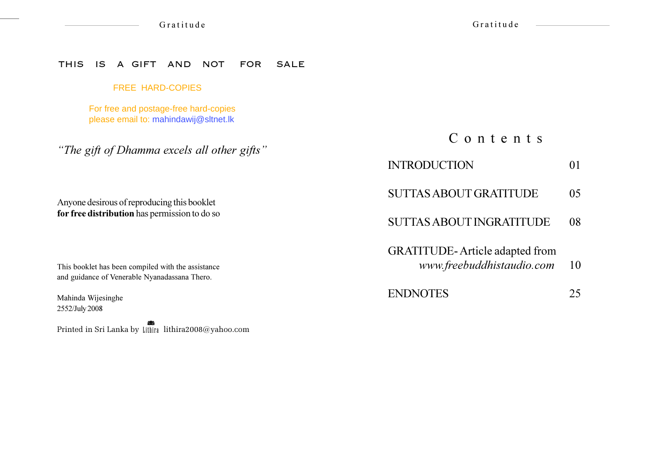Gratitude

#### THIS IS A GIFT AND NOT FOR SALE

#### FREE HARD-COPIES

For free and postage-free hard-copies please email to: mahindawij@sltnet.lk

"The gift of Dhamma excels all other gifts"

Anyone desirous of reproducing this booklet for free distribution has permission to do so

This booklet has been compiled with the assistance and guidance of Venerable Nyanadassana Thero.

Mahinda Wijesinghe 2552/July 2008

Printed in Sri Lanka by Lithira lithira2008@yahoo.com

# C o n t e n t s

#### **INTRODUCTION** 01

SUTTAS ABOUT GRATITUDE 05

## SUTTAS ABOUT INGRATITUDE 08

**GRATITUDE-Article adapted from** 

- www.freebuddhistaudio.com 1 10
- ENDNOTES 25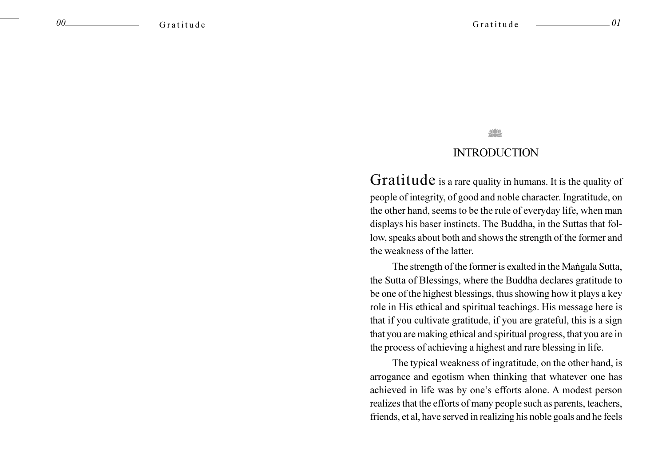#### 01

### **INTRODUCTION**

Gratitude is a rare quality in humans. It is the quality of people of integrity, of good and noble character. Ingratitude, on the other hand, seems to be the rule of everyday life, when man displays his baser instincts. The Buddha, in the Suttas that follow, speaks about both and shows the strength of the former and the weakness of the latter.

The strength of the former is exalted in the Mangala Sutta, the Sutta of Blessings, where the Buddha declares gratitude to be one of the highest blessings, thus showing how it plays a key role in His ethical and spiritual teachings. His message here is that if you cultivate gratitude, if you are grateful, this is a sign that you are making ethical and spiritual progress, that you are in the process of achieving a highest and rare blessing in life.

The typical weakness of ingratitude, on the other hand, is arrogance and egotism when thinking that whatever one has achieved in life was by one's efforts alone. A modest person realizes that the efforts of many people such as parents, teachers, friends, et al, have served in realizing his noble goals and he feels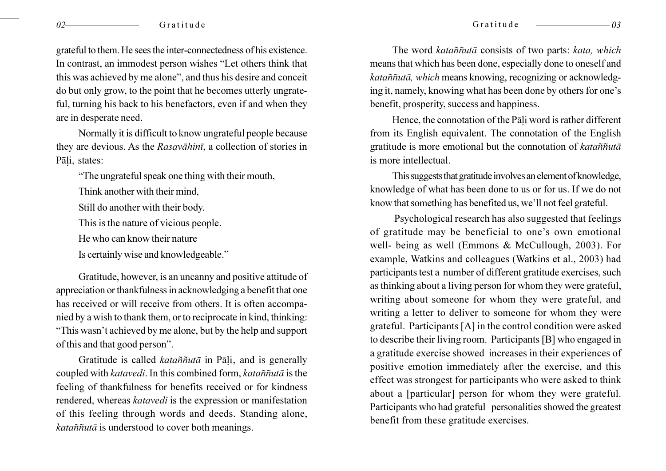#### Gratitude

grateful to them. He sees the inter-connectedness of his existence. In contrast, an immodest person wishes "Let others think that this was achieved by me alone", and thus his desire and conceit do but only grow, to the point that he becomes utterly ungrateful, turning his back to his benefactors, even if and when they are in desperate need.

Normally it is difficult to know ungrateful people because they are devious. As the Rasavahini, a collection of stories in Pāli, states:

"The ungrateful speak one thing with their mouth,

Think another with their mind.

Still do another with their body.

This is the nature of vicious people.

He who can know their nature

Is certainly wise and knowledgeable."

Gratitude, however, is an uncanny and positive attitude of appreciation or thankfulness in acknowledging a benefit that one has received or will receive from others. It is often accompanied by a wish to thank them, or to reciprocate in kind, thinking: "This wasn't achieved by me alone, but by the help and support of this and that good person".

Gratitude is called kataññutā in Pāļi, and is generally coupled with katavedi. In this combined form, kataññutā is the feeling of thankfulness for benefits received or for kindness rendered, whereas katavedi is the expression or manifestation of this feeling through words and deeds. Standing alone, kataññutā is understood to cover both meanings.

The word kataññutā consists of two parts: kata, which means that which has been done, especially done to oneself and kataññutā, which means knowing, recognizing or acknowledging it, namely, knowing what has been done by others for one's benefit, prosperity, success and happiness.

Hence, the connotation of the Pali word is rather different from its English equivalent. The connotation of the English gratitude is more emotional but the connotation of kataññuta is more intellectual.

This suggests that gratitude involves an element of knowledge, knowledge of what has been done to us or for us. If we do not know that something has benefited us, we'll not feel grateful.

Psychological research has also suggested that feelings of gratitude may be beneficial to one's own emotional well- being as well (Emmons & McCullough, 2003). For example, Watkins and colleagues (Watkins et al., 2003) had participants test a number of different gratitude exercises, such as thinking about a living person for whom they were grateful, writing about someone for whom they were grateful, and writing a letter to deliver to someone for whom they were grateful. Participants [A] in the control condition were asked to describe their living room. Participants [B] who engaged in a gratitude exercise showed increases in their experiences of positive emotion immediately after the exercise, and this effect was strongest for participants who were asked to think about a [particular] person for whom they were grateful. Participants who had grateful personalities showed the greatest benefit from these gratitude exercises.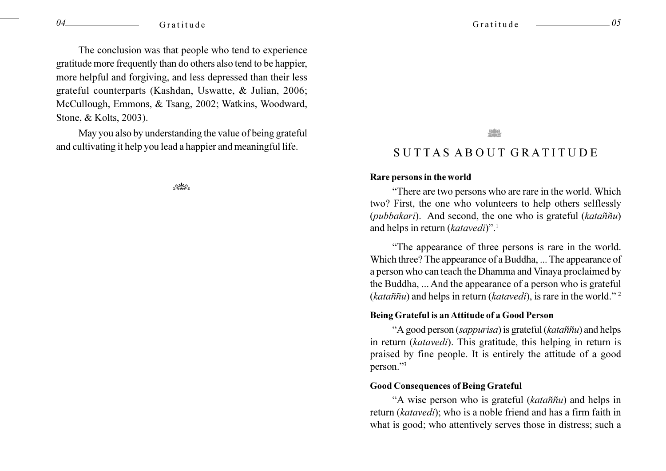The conclusion was that people who tend to experience gratitude more frequently than do others also tend to be happier, more helpful and forgiving, and less depressed than their less grateful counterparts (Kashdan, Uswatte, & Julian, 2006; McCullough, Emmons, & Tsang, 2002; Watkins, Woodward, Stone, & Kolts, 2003).

May you also by understanding the value of being grateful and cultivating it help you lead a happier and meaningful life.

 $ex$ 

#### Gratitude

### SUTTAS ABOUT GRATITUDE

#### Rare persons in the world

"There are two persons who are rare in the world. Which two? First, the one who volunteers to help others selflessly *(pubbakari)*. And second, the one who is grateful *(kataññu)* and helps in return (katavedi)".<sup>1</sup>

"The appearance of three persons is rare in the world. Which three? The appearance of a Buddha, ... The appearance of a person who can teach the Dhamma and Vinaya proclaimed by the Buddha, ... And the appearance of a person who is grateful (kataññu) and helps in return (katavedi), is rare in the world."<sup>2</sup>

#### Being Grateful is an Attitude of a Good Person

"A good person (sappurisa) is grateful (kataññu) and helps in return (katavedi). This gratitude, this helping in return is praised by fine people. It is entirely the attitude of a good person."3

#### **Good Consequences of Being Grateful**

"A wise person who is grateful (kataññu) and helps in return (katavedi); who is a noble friend and has a firm faith in what is good; who attentively serves those in distress; such a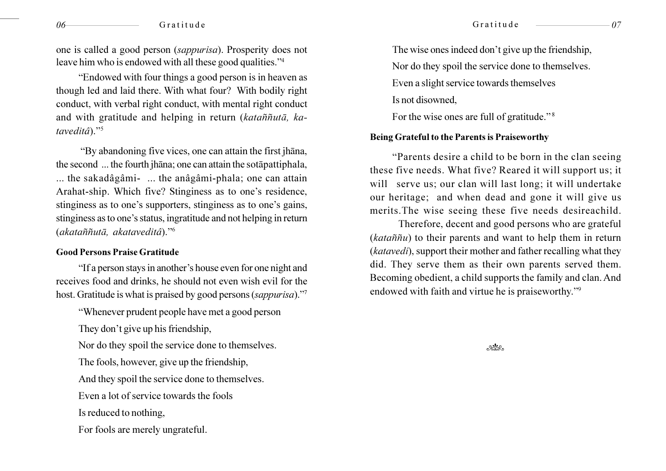one is called a good person *(sappurisa)*. Prosperity does not leave him who is endowed with all these good qualities."4

"Endowed with four things a good person is in heaven as though led and laid there. With what four? With bodily right conduct, with verbal right conduct, with mental right conduct and with gratitude and helping in return (kataññutā, kataveditâ)."5

"By abandoning five vices, one can attain the first jhana, the second ... the fourth jhana; one can attain the sotapattiphala, ... the sakadâgâmi- ... the anâgâmi-phala; one can attain Arahat-ship. Which five? Stinginess as to one's residence, stinginess as to one's supporters, stinginess as to one's gains, stinginess as to one's status, ingratitude and not helping in return (akataññutā, akataveditâ)."<sup>6</sup>

#### **Good Persons Praise Gratitude**

"If a person stays in another's house even for one night and receives food and drinks, he should not even wish evil for the host. Gratitude is what is praised by good persons (sappurisa)."

"Whenever prudent people have met a good person

They don't give up his friendship,

Nor do they spoil the service done to themselves.

The fools, however, give up the friendship,

And they spoil the service done to themselves.

Even a lot of service towards the fools

Is reduced to nothing,

For fools are merely ungrateful.

The wise ones indeed don't give up the friendship,

Nor do they spoil the service done to themselves.

Even a slight service towards themselves

Is not disowned.

For the wise ones are full of gratitude."<sup>8</sup>

#### Being Grateful to the Parents is Praiseworthy

"Parents desire a child to be born in the clan seeing" these five needs. What five? Reared it will support us; it will serve us; our clan will last long; it will undertake our heritage; and when dead and gone it will give us merits. The wise seeing these five needs desireachild.

Therefore, decent and good persons who are grateful  $(kataññu)$  to their parents and want to help them in return (katavedi), support their mother and father recalling what they did. They serve them as their own parents served them. Becoming obedient, a child supports the family and clan. And endowed with faith and virtue he is praiseworthy."<sup>9</sup>

 $-x^2$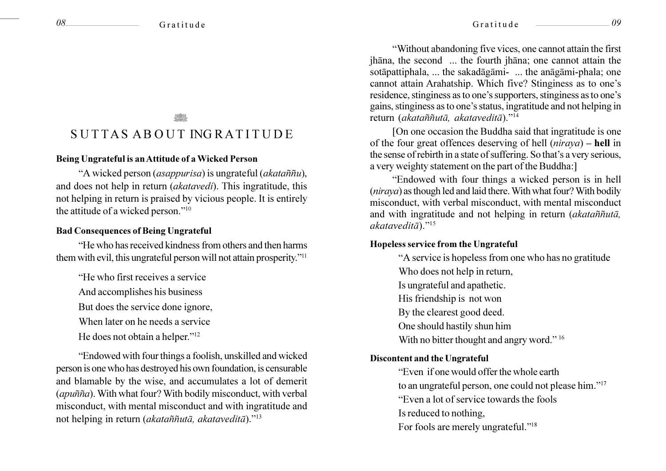# SUTTAS ABOUT INGRATITUDE

#### Being Ungrateful is an Attitude of a Wicked Person

"A wicked person (asappurisa) is ungrateful (akataññu), and does not help in return *(akatavedi)*. This ingratitude, this not helping in return is praised by vicious people. It is entirely the attitude of a wicked person."<sup>10</sup>

#### **Bad Consequences of Being Ungrateful**

"He who has received kindness from others and then harms them with evil, this ungrateful person will not attain prosperity."<sup>11</sup>

"He who first receives a service"

And accomplishes his business

But does the service done ignore,

When later on he needs a service

He does not obtain a helper."<sup>12</sup>

"Endowed with four things a foolish, unskilled and wicked person is one who has destroyed his own foundation, is censurable and blamable by the wise, and accumulates a lot of demerit (apuñña). With what four? With bodily misconduct, with verbal misconduct, with mental misconduct and with ingratitude and not helping in return (akataññutā, akataveditā)."<sup>13</sup>

"Without abandoning five vices, one cannot attain the first jhāna, the second ... the fourth jhāna; one cannot attain the sotāpattiphala, ... the sakadāgāmi- ... the anāgāmi-phala; one cannot attain Arahatship. Which five? Stinginess as to one's residence, stinginess as to one's supporters, stinginess as to one's gains, stinginess as to one's status, ingratitude and not helping in return (akataññutā, akataveditā)."<sup>14</sup>

IOn one occasion the Buddha said that ingratitude is one of the four great offences deserving of hell  $(niraya)$  – hell in the sense of rebirth in a state of suffering. So that's a very serious, a very weighty statement on the part of the Buddha:

"Endowed with four things a wicked person is in hell (niraya) as though led and laid there. With what four? With bodily misconduct, with verbal misconduct, with mental misconduct and with ingratitude and not helping in return (akataññutā,  $akatavedit\bar{a}$ ."<sup>15</sup>

#### Hopeless service from the Ungrateful

"A service is hopeless from one who has no gratitude Who does not help in return, Is ungrateful and apathetic. His friendship is not won By the clearest good deed. One should hastily shun him With no bitter thought and angry word." 16

#### **Discontent and the Ungrateful**

"Even if one would offer the whole earth to an ungrateful person, one could not please him."<sup>17</sup> "Even a lot of service towards the fools" Is reduced to nothing, For fools are merely ungrateful."<sup>18</sup>

 $\theta$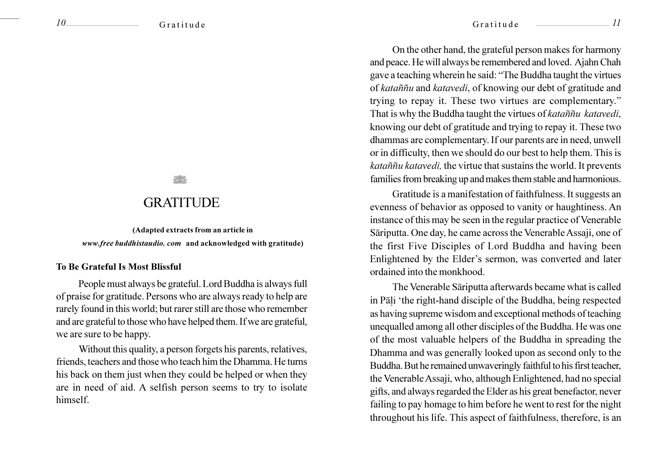## **GRATITUDE**

(Adapted extracts from an article in www.free buddhistaudio.com and acknowledged with gratitude)

#### **To Be Grateful Is Most Blissful**

People must always be grateful. Lord Buddha is always full of praise for gratitude. Persons who are always ready to help are rarely found in this world; but rarer still are those who remember and are grateful to those who have helped them. If we are grateful, we are sure to be happy.

Without this quality, a person forgets his parents, relatives, friends, teachers and those who teach him the Dhamma. He turns his back on them just when they could be helped or when they are in need of aid. A selfish person seems to try to isolate himself.

On the other hand, the grateful person makes for harmony and peace. He will always be remembered and loved. Ajahn Chah gave a teaching wherein he said: "The Buddha taught the virtues of kataññu and katavedi, of knowing our debt of gratitude and trying to repay it. These two virtues are complementary." That is why the Buddha taught the virtues of katanniu katavedi, knowing our debt of gratitude and trying to repay it. These two dhammas are complementary. If our parents are in need, unwell or in difficulty, then we should do our best to help them. This is kataññu katavedi, the virtue that sustains the world. It prevents families from breaking up and makes them stable and harmonious.

Gratitude is a manifestation of faithfulness. It suggests an evenness of behavior as opposed to vanity or haughtiness. An instance of this may be seen in the regular practice of Venerable Sāriputta. One day, he came across the Venerable Assaji, one of the first Five Disciples of Lord Buddha and having been Enlightened by the Elder's sermon, was converted and later ordained into the monkhood.

The Venerable Sāriputta afterwards became what is called in Pāli 'the right-hand disciple of the Buddha, being respected as having supreme wisdom and exceptional methods of teaching unequalled among all other disciples of the Buddha. He was one of the most valuable helpers of the Buddha in spreading the Dhamma and was generally looked upon as second only to the Buddha. But he remained unwaveringly faithful to his first teacher, the Venerable Assaji, who, although Enlightened, had no special gifts, and always regarded the Elder as his great benefactor, never failing to pay homage to him before he went to rest for the night throughout his life. This aspect of faithfulness, therefore, is an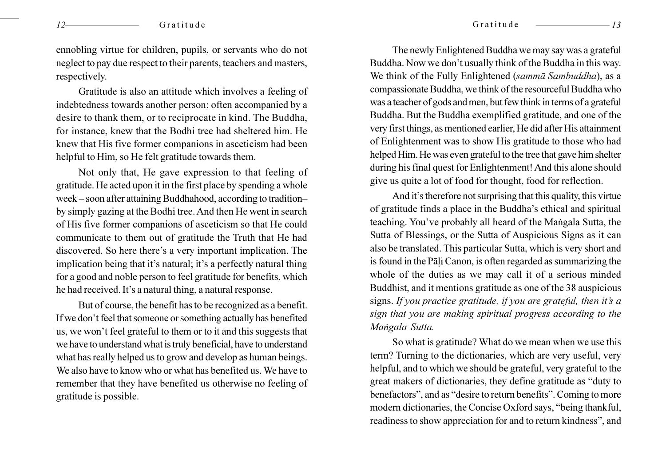ennobling virtue for children, pupils, or servants who do not neglect to pay due respect to their parents, teachers and masters, respectively.

Gratitude is also an attitude which involves a feeling of indebtedness towards another person; often accompanied by a desire to thank them, or to reciprocate in kind. The Buddha, for instance, knew that the Bodhi tree had sheltered him. He knew that His five former companions in asceticism had been helpful to Him, so He felt gratitude towards them.

Not only that, He gave expression to that feeling of gratitude. He acted upon it in the first place by spending a whole week – soon after attaining Buddhahood, according to tradition– by simply gazing at the Bodhi tree. And then He went in search of His five former companions of asceticism so that He could communicate to them out of gratitude the Truth that He had discovered. So here there's a very important implication. The implication being that it's natural; it's a perfectly natural thing for a good and noble person to feel gratitude for benefits, which he had received. It's a natural thing, a natural response.

But of course, the benefit has to be recognized as a benefit. If we don't feel that someone or something actually has benefited us, we won't feel grateful to them or to it and this suggests that we have to understand what is truly beneficial, have to understand what has really helped us to grow and develop as human beings. We also have to know who or what has benefited us. We have to remember that they have benefited us otherwise no feeling of gratitude is possible.

The newly Enlightened Buddha we may say was a grateful Buddha. Now we don't usually think of the Buddha in this way. We think of the Fully Enlightened (sammā Sambuddha), as a compassionate Buddha, we think of the resourceful Buddha who was a teacher of gods and men, but few think in terms of a grateful Buddha. But the Buddha exemplified gratitude, and one of the very first things, as mentioned earlier, He did after His attainment of Enlightenment was to show His gratitude to those who had helped Him. He was even grateful to the tree that gave him shelter during his final quest for Enlightenment! And this alone should give us quite a lot of food for thought, food for reflection.

And it's therefore not surprising that this quality, this virtue of gratitude finds a place in the Buddha's ethical and spiritual teaching. You've probably all heard of the Mangala Sutta, the Sutta of Blessings, or the Sutta of Auspicious Signs as it can also be translated. This particular Sutta, which is very short and is found in the Pali Canon, is often regarded as summarizing the whole of the duties as we may call it of a serious minded Buddhist, and it mentions gratitude as one of the 38 auspicious signs. If you practice gratitude, if you are grateful, then it's a sign that you are making spiritual progress according to the Mangala Sutta.

So what is gratitude? What do we mean when we use this term? Turning to the dictionaries, which are very useful, very helpful, and to which we should be grateful, very grateful to the great makers of dictionaries, they define gratitude as "duty to benefactors", and as "desire to return benefits". Coming to more modern dictionaries, the Concise Oxford says, "being thankful, readiness to show appreciation for and to return kindness", and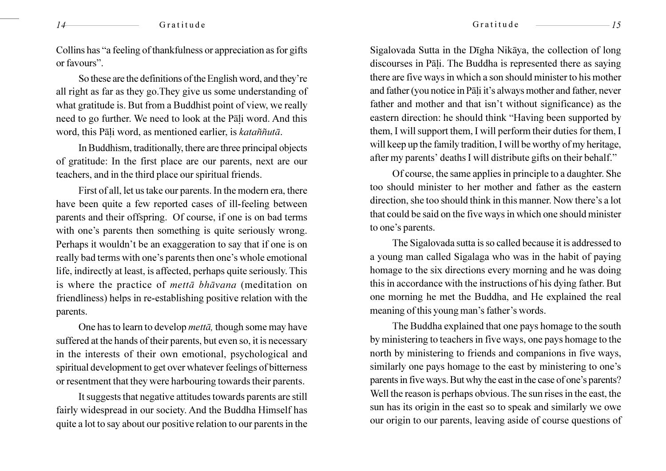Collins has "a feeling of thankfulness or appreciation as for gifts or favours".

So these are the definitions of the English word, and they're all right as far as they go. They give us some understanding of what gratitude is. But from a Buddhist point of view, we really need to go further. We need to look at the Pāli word. And this word, this Pāli word, as mentioned earlier, is kataññutā.

In Buddhism, traditionally, there are three principal objects of gratitude: In the first place are our parents, next are our teachers, and in the third place our spiritual friends.

First of all, let us take our parents. In the modern era, there have been quite a few reported cases of ill-feeling between parents and their offspring. Of course, if one is on bad terms with one's parents then something is quite seriously wrong. Perhaps it wouldn't be an exaggeration to say that if one is on really bad terms with one's parents then one's whole emotional life, indirectly at least, is affected, perhaps quite seriously. This is where the practice of *metta bhavana* (meditation on friendliness) helps in re-establishing positive relation with the parents.

One has to learn to develop *metta*, though some may have suffered at the hands of their parents, but even so, it is necessary in the interests of their own emotional, psychological and spiritual development to get over whatever feelings of bitterness or resentment that they were harbouring towards their parents.

It suggests that negative attitudes towards parents are still fairly widespread in our society. And the Buddha Himself has quite a lot to say about our positive relation to our parents in the

Sigalovada Sutta in the Dīgha Nikāya, the collection of long discourses in Pāli. The Buddha is represented there as saying there are five ways in which a son should minister to his mother and father (you notice in Pāli it's always mother and father, never father and mother and that isn't without significance) as the eastern direction: he should think "Having been supported by them, I will support them, I will perform their duties for them, I will keep up the family tradition, I will be worthy of my heritage, after my parents' deaths I will distribute gifts on their behalf."

Of course, the same applies in principle to a daughter. She too should minister to her mother and father as the eastern direction, she too should think in this manner. Now there's a lot that could be said on the five ways in which one should minister to one's parents.

The Sigalovada sutta is so called because it is addressed to a young man called Sigalaga who was in the habit of paying homage to the six directions every morning and he was doing this in accordance with the instructions of his dying father. But one morning he met the Buddha, and He explained the real meaning of this young man's father's words.

The Buddha explained that one pays homage to the south by ministering to teachers in five ways, one pays homage to the north by ministering to friends and companions in five ways, similarly one pays homage to the east by ministering to one's parents in five ways. But why the east in the case of one's parents? Well the reason is perhaps obvious. The sun rises in the east, the sun has its origin in the east so to speak and similarly we owe our origin to our parents, leaving aside of course questions of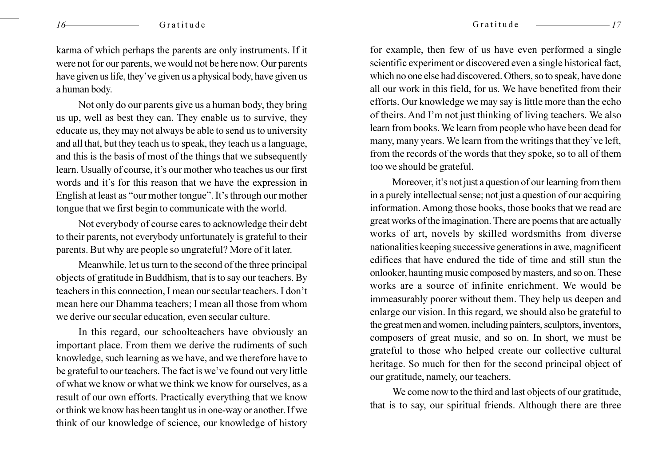karma of which perhaps the parents are only instruments. If it were not for our parents, we would not be here now. Our parents have given us life, they've given us a physical body, have given us a human body.

Not only do our parents give us a human body, they bring us up, well as best they can. They enable us to survive, they educate us, they may not always be able to send us to university and all that, but they teach us to speak, they teach us a language, and this is the basis of most of the things that we subsequently learn. Usually of course, it's our mother who teaches us our first words and it's for this reason that we have the expression in English at least as "our mother tongue". It's through our mother tongue that we first begin to communicate with the world.

Not everybody of course cares to acknowledge their debt to their parents, not everybody unfortunately is grateful to their parents. But why are people so ungrateful? More of it later.

Meanwhile, let us turn to the second of the three principal objects of gratitude in Buddhism, that is to say our teachers. By teachers in this connection, I mean our secular teachers. I don't mean here our Dhamma teachers; I mean all those from whom we derive our secular education, even secular culture.

In this regard, our schoolteachers have obviously an important place. From them we derive the rudiments of such knowledge, such learning as we have, and we therefore have to be grateful to our teachers. The fact is we've found out very little of what we know or what we think we know for ourselves, as a result of our own efforts. Practically everything that we know or think we know has been taught us in one-way or another. If we think of our knowledge of science, our knowledge of history

for example, then few of us have even performed a single scientific experiment or discovered even a single historical fact, which no one else had discovered. Others, so to speak, have done all our work in this field, for us. We have benefited from their efforts. Our knowledge we may say is little more than the echo of theirs. And I'm not just thinking of living teachers. We also learn from books. We learn from people who have been dead for many, many years. We learn from the writings that they've left, from the records of the words that they spoke, so to all of them too we should be grateful.

Moreover, it's not just a question of our learning from them in a purely intellectual sense; not just a question of our acquiring information. Among those books, those books that we read are great works of the imagination. There are poems that are actually works of art, novels by skilled wordsmiths from diverse nationalities keeping successive generations in awe, magnificent edifices that have endured the tide of time and still stun the onlooker, haunting music composed by masters, and so on. These works are a source of infinite enrichment. We would be immeasurably poorer without them. They help us deepen and enlarge our vision. In this regard, we should also be grateful to the great men and women, including painters, sculptors, inventors, composers of great music, and so on. In short, we must be grateful to those who helped create our collective cultural heritage. So much for then for the second principal object of our gratitude, namely, our teachers.

We come now to the third and last objects of our gratitude, that is to say, our spiritual friends. Although there are three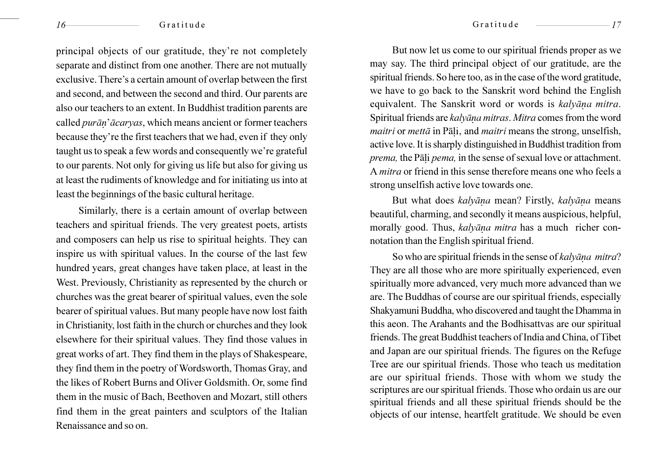principal objects of our gratitude, they're not completely separate and distinct from one another. There are not mutually exclusive. There's a certain amount of overlap between the first and second, and between the second and third. Our parents are also our teachers to an extent. In Buddhist tradition parents are called purān'ācaryas, which means ancient or former teachers because they're the first teachers that we had, even if they only taught us to speak a few words and consequently we're grateful to our parents. Not only for giving us life but also for giving us at least the rudiments of knowledge and for initiating us into at least the beginnings of the basic cultural heritage.

Similarly, there is a certain amount of overlap between teachers and spiritual friends. The very greatest poets, artists and composers can help us rise to spiritual heights. They can inspire us with spiritual values. In the course of the last few hundred years, great changes have taken place, at least in the West. Previously, Christianity as represented by the church or churches was the great bearer of spiritual values, even the sole bearer of spiritual values. But many people have now lost faith in Christianity, lost faith in the church or churches and they look elsewhere for their spiritual values. They find those values in great works of art. They find them in the plays of Shakespeare, they find them in the poetry of Wordsworth, Thomas Gray, and the likes of Robert Burns and Oliver Goldsmith. Or, some find them in the music of Bach, Beethoven and Mozart, still others find them in the great painters and sculptors of the Italian Renaissance and so on.

But now let us come to our spiritual friends proper as we may say. The third principal object of our gratitude, are the spiritual friends. So here too, as in the case of the word gratitude, we have to go back to the Sanskrit word behind the English equivalent. The Sanskrit word or words is kalyāna mitra. Spiritual friends are kalyāna mitras. Mitra comes from the word *maitri* or *metta* in Pali, and *maitri* means the strong, unselfish, active love. It is sharply distinguished in Buddhist tradition from prema, the Pāli pema, in the sense of sexual love or attachment. A *mitra* or friend in this sense therefore means one who feels a strong unselfish active love towards one.

But what does kalyāna mean? Firstly, kalyāna means beautiful, charming, and secondly it means auspicious, helpful, morally good. Thus, kalyāna mitra has a much richer connotation than the English spiritual friend.

So who are spiritual friends in the sense of kalyana mitra? They are all those who are more spiritually experienced, even spiritually more advanced, very much more advanced than we are. The Buddhas of course are our spiritual friends, especially Shakyamuni Buddha, who discovered and taught the Dhamma in this aeon. The Arahants and the Bodhisattvas are our spiritual friends. The great Buddhist teachers of India and China, of Tibet and Japan are our spiritual friends. The figures on the Refuge Tree are our spiritual friends. Those who teach us meditation are our spiritual friends. Those with whom we study the scriptures are our spiritual friends. Those who ordain us are our spiritual friends and all these spiritual friends should be the objects of our intense, heartfelt gratitude. We should be even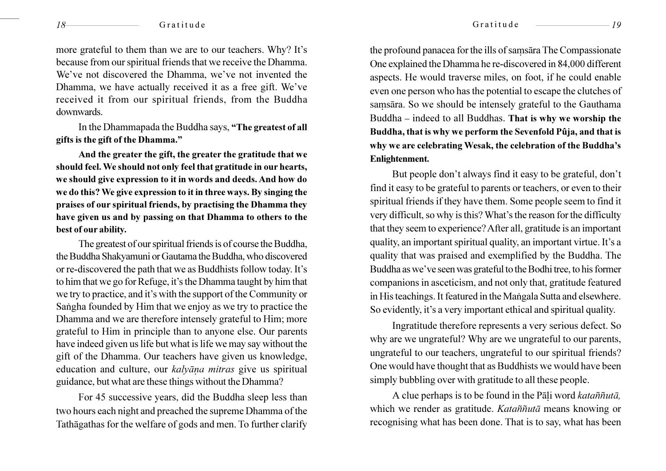more grateful to them than we are to our teachers. Why? It's because from our spiritual friends that we receive the Dhamma. We've not discovered the Dhamma, we've not invented the Dhamma, we have actually received it as a free gift. We've received it from our spiritual friends, from the Buddha downwards.

In the Dhammapada the Buddha says, "The greatest of all gifts is the gift of the Dhamma."

And the greater the gift, the greater the gratitude that we should feel. We should not only feel that gratitude in our hearts, we should give expression to it in words and deeds. And how do we do this? We give expression to it in three ways. By singing the praises of our spiritual friends, by practising the Dhamma they have given us and by passing on that Dhamma to others to the best of our ability.

The greatest of our spiritual friends is of course the Buddha, the Buddha Shakyamuni or Gautama the Buddha, who discovered or re-discovered the path that we as Buddhists follow today. It's to him that we go for Refuge, it's the Dhamma taught by him that we try to practice, and it's with the support of the Community or Sangha founded by Him that we enjoy as we try to practice the Dhamma and we are therefore intensely grateful to Him; more grateful to Him in principle than to anyone else. Our parents have indeed given us life but what is life we may say without the gift of the Dhamma. Our teachers have given us knowledge, education and culture, our *kalvāna mitras* give us spiritual guidance, but what are these things without the Dhamma?

For 45 successive years, did the Buddha sleep less than two hours each night and preached the supreme Dhamma of the Tathāgathas for the welfare of gods and men. To further clarify

the profound panacea for the ills of samsara The Compassionate One explained the Dhamma he re-discovered in 84,000 different aspects. He would traverse miles, on foot, if he could enable even one person who has the potential to escape the clutches of samsāra. So we should be intensely grateful to the Gauthama Buddha – indeed to all Buddhas. That is why we worship the Buddha, that is why we perform the Sevenfold Pûja, and that is why we are celebrating Wesak, the celebration of the Buddha's Enlightenment.

But people don't always find it easy to be grateful, don't find it easy to be grateful to parents or teachers, or even to their spiritual friends if they have them. Some people seem to find it very difficult, so why is this? What's the reason for the difficulty that they seem to experience? After all, gratitude is an important quality, an important spiritual quality, an important virtue. It's a quality that was praised and exemplified by the Buddha. The Buddha as we've seen was grateful to the Bodhi tree, to his former companions in asceticism, and not only that, gratitude featured in His teachings. It featured in the Mangala Sutta and elsewhere. So evidently, it's a very important ethical and spiritual quality.

Ingratitude therefore represents a very serious defect. So why are we ungrateful? Why are we ungrateful to our parents, ungrateful to our teachers, ungrateful to our spiritual friends? One would have thought that as Buddhists we would have been simply bubbling over with gratitude to all these people.

A clue perhaps is to be found in the Pali word katañnuta, which we render as gratitude. Kataññutā means knowing or recognising what has been done. That is to say, what has been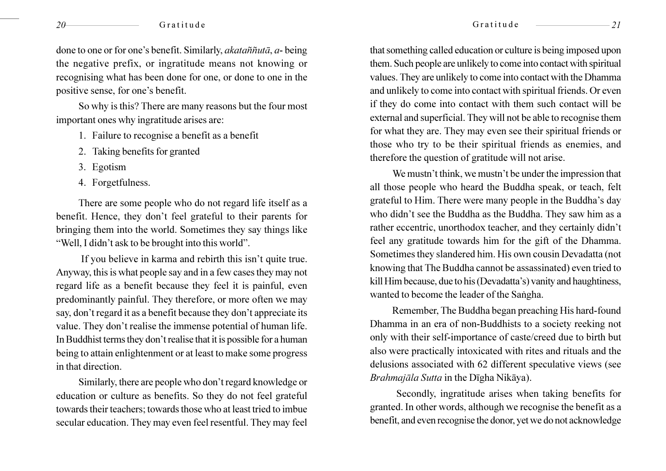done to one or for one's benefit. Similarly, *akatañnuta*, *a*-being the negative prefix, or ingratitude means not knowing or recognising what has been done for one, or done to one in the positive sense, for one's benefit.

So why is this? There are many reasons but the four most important ones why ingratitude arises are:

- 1. Failure to recognise a benefit as a benefit
- 2. Taking benefits for granted
- 3. Egotism
- 4. Forgetfulness.

There are some people who do not regard life itself as a benefit. Hence, they don't feel grateful to their parents for bringing them into the world. Sometimes they say things like "Well, I didn't ask to be brought into this world".

If you believe in karma and rebirth this isn't quite true. Anyway, this is what people say and in a few cases they may not regard life as a benefit because they feel it is painful, even predominantly painful. They therefore, or more often we may say, don't regard it as a benefit because they don't appreciate its value. They don't realise the immense potential of human life. In Buddhist terms they don't realise that it is possible for a human being to attain enlightenment or at least to make some progress in that direction.

Similarly, there are people who don't regard knowledge or education or culture as benefits. So they do not feel grateful towards their teachers; towards those who at least tried to imbue secular education. They may even feel resentful. They may feel

that something called education or culture is being imposed upon them. Such people are unlikely to come into contact with spiritual values. They are unlikely to come into contact with the Dhamma and unlikely to come into contact with spiritual friends. Or even if they do come into contact with them such contact will be external and superficial. They will not be able to recognise them for what they are. They may even see their spiritual friends or those who try to be their spiritual friends as enemies, and therefore the question of gratitude will not arise.

We must n't think, we must n't be under the impression that all those people who heard the Buddha speak, or teach, felt grateful to Him. There were many people in the Buddha's day who didn't see the Buddha as the Buddha. They saw him as a rather eccentric, unorthodox teacher, and they certainly didn't feel any gratitude towards him for the gift of the Dhamma. Sometimes they slandered him. His own cousin Devadatta (not knowing that The Buddha cannot be assassinated) even tried to kill Him because, due to his (Devadatta's) vanity and haughtiness, wanted to become the leader of the Sangha.

Remember, The Buddha began preaching His hard-found Dhamma in an era of non-Buddhists to a society reeking not only with their self-importance of caste/creed due to birth but also were practically intoxicated with rites and rituals and the delusions associated with 62 different speculative views (see Brahmajāla Sutta in the Dīgha Nikāya).

Secondly, ingratitude arises when taking benefits for granted. In other words, although we recognise the benefit as a benefit, and even recognise the donor, yet we do not acknowledge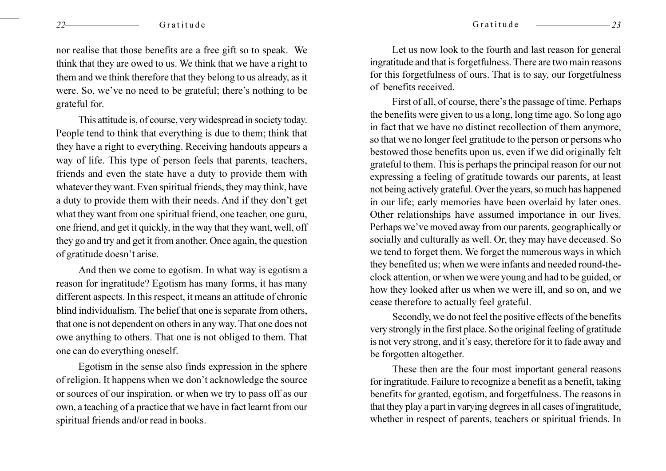nor realise that those benefits are a free gift so to speak. We think that they are owed to us. We think that we have a right to them and we think therefore that they belong to us already, as it were. So, we've no need to be grateful; there's nothing to be grateful for.

This attitude is, of course, very widespread in society today. People tend to think that everything is due to them; think that they have a right to everything. Receiving handouts appears a way of life. This type of person feels that parents, teachers, friends and even the state have a duty to provide them with whatever they want. Even spiritual friends, they may think, have a duty to provide them with their needs. And if they don't get what they want from one spiritual friend, one teacher, one guru, one friend, and get it quickly, in the way that they want, well, off they go and try and get it from another. Once again, the question of gratitude doesn't arise.

And then we come to egotism. In what way is egotism a reason for ingratitude? Egotism has many forms, it has many different aspects. In this respect, it means an attitude of chronic blind individualism. The belief that one is separate from others, that one is not dependent on others in any way. That one does not owe anything to others. That one is not obliged to them. That one can do everything oneself.

Egotism in the sense also finds expression in the sphere of religion. It happens when we don't acknowledge the source or sources of our inspiration, or when we try to pass off as our own, a teaching of a practice that we have in fact learnt from our spiritual friends and/or read in books.

Let us now look to the fourth and last reason for general ingratitude and that is forgetfulness. There are two main reasons for this forgetfulness of ours. That is to say, our forgetfulness of benefits received.

First of all, of course, there's the passage of time. Perhaps the benefits were given to us a long, long time ago. So long ago in fact that we have no distinct recollection of them anymore, so that we no longer feel gratitude to the person or persons who bestowed those benefits upon us, even if we did originally felt grateful to them. This is perhaps the principal reason for our not expressing a feeling of gratitude towards our parents, at least not being actively grateful. Over the years, so much has happened in our life; early memories have been overlaid by later ones. Other relationships have assumed importance in our lives. Perhaps we've moved away from our parents, geographically or socially and culturally as well. Or, they may have deceased. So we tend to forget them. We forget the numerous ways in which they benefited us; when we were infants and needed round-theclock attention, or when we were young and had to be guided, or how they looked after us when we were ill, and so on, and we cease therefore to actually feel grateful.

Secondly, we do not feel the positive effects of the benefits very strongly in the first place. So the original feeling of gratitude is not very strong, and it's easy, therefore for it to fade away and be forgotten altogether.

These then are the four most important general reasons for ingratitude. Failure to recognize a benefit as a benefit, taking benefits for granted, egotism, and forgetfulness. The reasons in that they play a part in varying degrees in all cases of ingratitude, whether in respect of parents, teachers or spiritual friends. In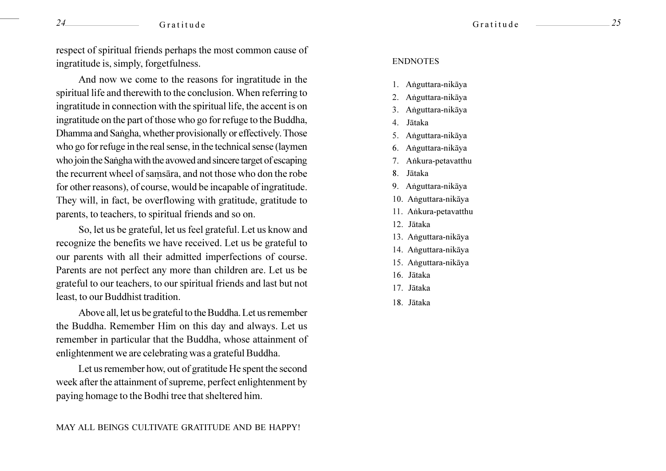respect of spiritual friends perhaps the most common cause of ingratitude is, simply, forgetfulness.

And now we come to the reasons for ingratitude in the spiritual life and therewith to the conclusion. When referring to ingratitude in connection with the spiritual life, the accent is on ingratitude on the part of those who go for refuge to the Buddha, Dhamma and Sangha, whether provisionally or effectively. Those who go for refuge in the real sense, in the technical sense (laymen who join the Sangha with the avowed and sincere target of escaping the recurrent wheel of samsara, and not those who don the robe for other reasons), of course, would be incapable of ingratitude. They will, in fact, be overflowing with gratitude, gratitude to parents, to teachers, to spiritual friends and so on.

So, let us be grateful, let us feel grateful. Let us know and recognize the benefits we have received. Let us be grateful to our parents with all their admitted imperfections of course. Parents are not perfect any more than children are. Let us be grateful to our teachers, to our spiritual friends and last but not least, to our Buddhist tradition.

Above all, let us be grateful to the Buddha. Let us remember the Buddha. Remember Him on this day and always. Let us remember in particular that the Buddha, whose attainment of enlightenment we are celebrating was a grateful Buddha.

Let us remember how, out of gratitude He spent the second week after the attainment of supreme, perfect enlightenment by paying homage to the Bodhi tree that sheltered him.

#### **ENDNOTES**

- 1. Anguttara-nikāva
- 2. Anguttara-nikāya
- 3. Anguttara-nikāya
- 4. Jātaka
- 5. Anguttara-nikāya
- 6. Anguttara-nikāya
- 7. Ankura-petavatthu
- 8. Jātaka
- 9. Anguttara-nikāya
- 10. Anguttara-nikāya
- 11. Ankura-petavatthu
- 12. Jātaka
- 13. Anguttara-nikāya
- 14. Anguttara-nikāya
- 15. Anguttara-nikāya
- 16. Jātaka
- 17. Jātaka
- 18. Jātaka